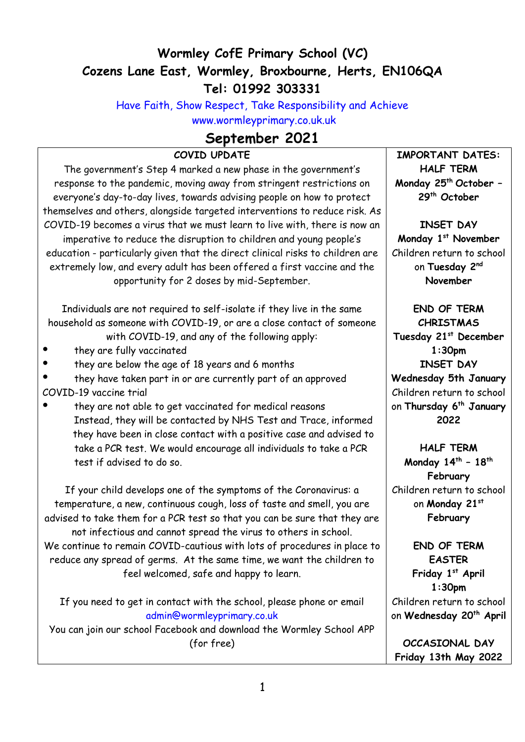# **Wormley CofE Primary School (VC) Cozens Lane East, Wormley, Broxbourne, Herts, EN106QA Tel: 01992 303331**

Have Faith, Show Respect, Take Responsibility and Achieve [www.wormleyprimary.co.uk.uk](http://www.wormleyprimary.co.uk.uk/)

# **September 2021**

# **COVID UPDATE**

The government's Step 4 marked a new phase in the government's response to the pandemic, moving away from stringent restrictions on everyone's day-to-day lives, towards advising people on how to protect themselves and others, alongside targeted interventions to reduce risk. As COVID-19 becomes a virus that we must learn to live with, there is now an imperative to reduce the disruption to children and young people's education - particularly given that the direct clinical risks to children are extremely low, and every adult has been offered a first vaccine and the opportunity for 2 doses by mid-September.

Individuals are not required to self-isolate if they live in the same household as someone with COVID-19, or are a close contact of someone with COVID-19, and any of the following apply:

- they are fully vaccinated
- they are below the age of 18 years and 6 months
- they have taken part in or are currently part of an approved COVID-19 vaccine trial
- they are not able to get vaccinated for medical reasons Instead, they will be contacted by NHS Test and Trace, informed they have been in close contact with a positive case and advised to take a PCR test. We would encourage all individuals to take a PCR test if advised to do so.

If your child develops one of the symptoms of the Coronavirus: a temperature, a new, continuous cough, loss of taste and smell, you are advised to take them for a PCR test so that you can be sure that they are not infectious and cannot spread the virus to others in school. We continue to remain COVID-cautious with lots of procedures in place to reduce any spread of germs. At the same time, we want the children to feel welcomed, safe and happy to learn.

If you need to get in contact with the school, please phone or email [admin@wormleyprimary.co.uk](mailto:admin@wormleyprimary.co.uk)

You can join our school Facebook and download the Wormley School APP (for free)

**IMPORTANT DATES: HALF TERM Monday 25th October – 29th October**

**INSET DAY Monday 1st November** Children return to school on **Tuesday 2nd November**

**END OF TERM CHRISTMAS Tuesday 21st December 1:30pm INSET DAY Wednesday 5th January**  Children return to school on **Thursday 6 th January 2022**

**HALF TERM Monday 14th – 18th February** Children return to school on **Monday 21st February** 

**END OF TERM EASTER Friday 1st April 1:30pm** Children return to school on **Wednesday 20th April**

**OCCASIONAL DAY Friday 13th May 2022**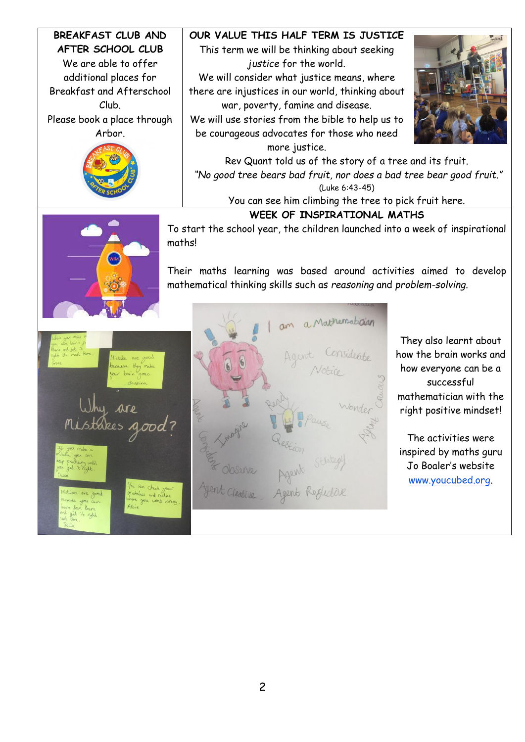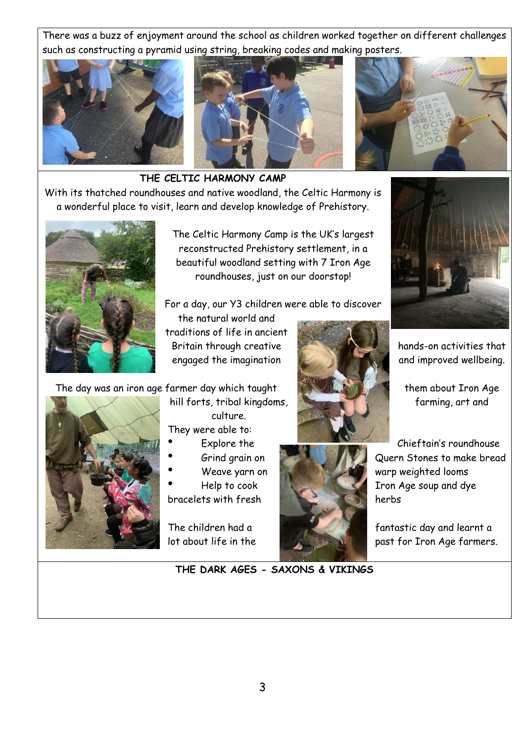There was a buzz of enjoyment around the school as children worked together on different challenges such as constructing a pyramid using string, breaking codes and making posters.





**THE CELTIC HARMONY CAMP**

With its thatched roundhouses and native woodland, the Celtic Harmony is a wonderful place to visit, learn and develop knowledge of Prehistory.



The Celtic Harmony Camp is the UK's largest reconstructed Prehistory settlement, in a beautiful woodland setting with 7 Iron Age roundhouses, just on our doorstop!

For a day, our Y3 children were able to discover

the natural world and traditions of life in ancient Britain through creative **hands-on activities that** engaged the imagination and improved wellbeing.

The day was an iron age farmer day which taught them about Iron Age



hill forts, tribal kingdoms, **farming**, art and culture. They were able to:

- 
- 
- 
- 
- 





Grind grain on Quern Stones to make bread Weave yarn on warp warp weighted looms Help to cook I also a Iron Age soup and dye

The children had a **fantastic day and learnt a** lot about life in the past for Iron Age farmers.

3

**THE DARK AGES - SAXONS & VIKINGS**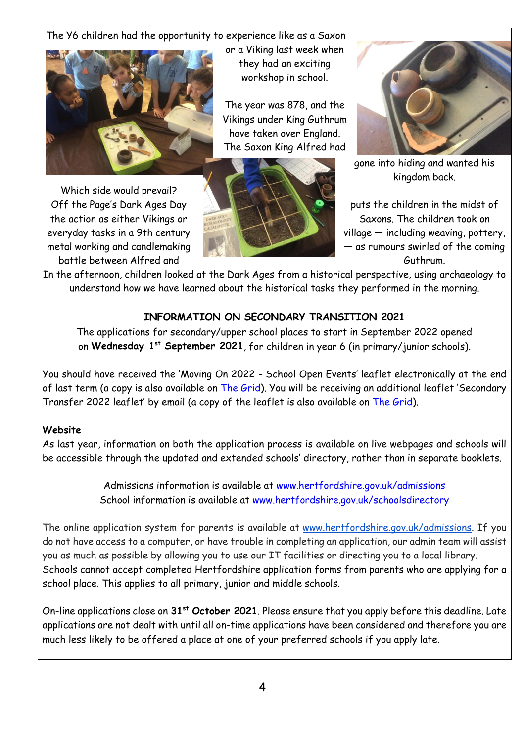The Y6 children had the opportunity to experience like as a Saxon



Which side would prevail? battle between Alfred and Guthrum. Guthrum.

or a Viking last week when they had an exciting workshop in school.

The year was 878, and the Vikings under King Guthrum have taken over England. The Saxon King Alfred had





gone into hiding and wanted his kingdom back.

Off the Page's Dark Ages Day puts the children in the midst of the action as either Vikings or Saxons. The children took on everyday tasks in a 9th century  $\overline{a}$  and  $\overline{b}$  village — including weaving, pottery, metal working and candlemaking  $\Box$   $\Box$   $\Box$   $\Box$   $\Box$   $\Box$  as rumours swirled of the coming

In the afternoon, children looked at the Dark Ages from a historical perspective, using archaeology to understand how we have learned about the historical tasks they performed in the morning.

# **INFORMATION ON SECONDARY TRANSITION 2021**

The applications for secondary/upper school places to start in September 2022 opened on **Wednesday 1 st September 2021**, for children in year 6 (in primary/junior schools).

You should have received the 'Moving On 2022 - School Open Events' leaflet electronically at the end of last term (a copy is also available on [The Grid](https://thegrid.org.uk/admissions-attendance-travel-to-school/admissions/admissions-processes)). You will be receiving an additional leaflet 'Secondary Transfer 2022 leaflet' by email (a copy of the leaflet is also available on [The Grid\)](https://thegrid.org.uk/admissions-attendance-travel-to-school/admissions/admissions-processes).

## **Website**

As last year, information on both the application process is available on live webpages and schools will be accessible through the updated and extended schools' directory, rather than in separate booklets.

> Admissions information is available at [www.hertfordshire.gov.uk/admissions](http://www.hertfordshire.gov.uk/admissions) School information is available at [www.hertfordshire.gov.uk/schoolsdirectory](http://www.hertfordshire.gov.uk/schoolsdirectory)

The online application system for parents is available at [www.hertfordshire.gov.uk/admissions.](http://www.hertfordshire.gov.uk/admissions) If you do not have access to a computer, or have trouble in completing an application, our admin team will assist you as much as possible by allowing you to use our IT facilities or directing you to a local library. Schools cannot accept completed Hertfordshire application forms from parents who are applying for a school place. This applies to all primary, junior and middle schools.

On-line applications close on **31st October 2021**. Please ensure that you apply before this deadline. Late applications are not dealt with until all on-time applications have been considered and therefore you are much less likely to be offered a place at one of your preferred schools if you apply late.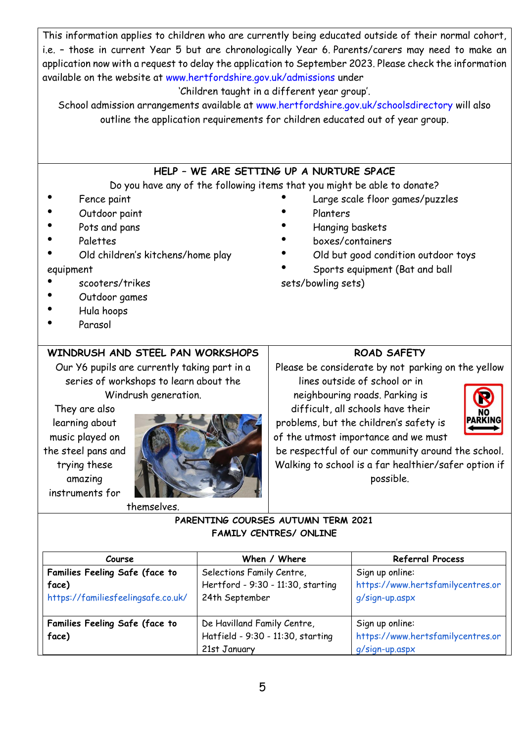This information applies to children who are currently being educated outside of their normal cohort, i.e. – those in current Year 5 but are chronologically Year 6. Parents/carers may need to make an application now with a request to delay the application to September 2023. Please check the information available on the website at [www.hertfordshire.gov.uk/admissions](http://www.hertfordshire.gov.uk/admissions) under

#### 'Children taught in a different year group'.

School admission arrangements available at [www.hertfordshire.gov.uk/schoolsdirectory](http://www.hertfordshire.gov.uk/schoolsdirectory) will also outline the application requirements for children educated out of year group.

## **HELP – WE ARE SETTING UP A NURTURE SPACE**

#### Do you have any of the following items that you might be able to donate?

- Fence paint
- Outdoor paint
- Pots and pans
- **Palettes**
- Old children's kitchens/home play

#### equipment

- scooters/trikes
- Outdoor games
- Hula hoops
- Parasol

## **WINDRUSH AND STEEL PAN WORKSHOPS**

Our Y6 pupils are currently taking part in a series of workshops to learn about the Windrush generation.

They are also learning about music played on the steel pans and trying these amazing instruments for



#### themselves.

# **ROAD SAFETY**

Large scale floor games/puzzles

Old but good condition outdoor toys

Sports equipment (Bat and ball

**Planters** 

sets/bowling sets)

Hanging baskets ● boxes/containers

Please be considerate by not parking on the yellow

lines outside of school or in neighbouring roads. Parking is difficult, all schools have their

problems, but the children's safety is of the utmost importance and we must



be respectful of our community around the school. Walking to school is a far healthier/safer option if possible.

### **PARENTING COURSES AUTUMN TERM 2021 FAMILY CENTRES/ ONLINE**

| Course                                                                        | When / Where                                                                     | <b>Referral Process</b>                                                |
|-------------------------------------------------------------------------------|----------------------------------------------------------------------------------|------------------------------------------------------------------------|
| Families Feeling Safe (face to<br>face)<br>https://familiesfeelingsafe.co.uk/ | Selections Family Centre,<br>Hertford - 9:30 - 11:30, starting<br>24th September | Sign up online:<br>https://www.hertsfamilycentres.or<br>q/sign-up.aspx |
| Families Feeling Safe (face to<br>face)                                       | De Havilland Family Centre,<br>Hatfield - 9:30 - 11:30, starting<br>21st January | Sign up online:<br>https://www.hertsfamilycentres.or<br>g/sign-up.aspx |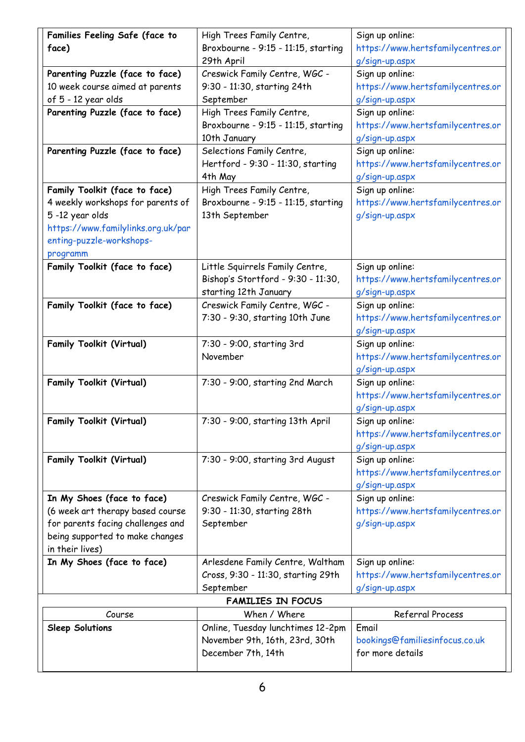| Families Feeling Safe (face to     | High Trees Family Centre,           | Sign up online:                   |
|------------------------------------|-------------------------------------|-----------------------------------|
| face)                              | Broxbourne - 9:15 - 11:15, starting | https://www.hertsfamilycentres.or |
|                                    | 29th April                          | g/sign-up.aspx                    |
| Parenting Puzzle (face to face)    | Creswick Family Centre, WGC -       | Sign up online:                   |
| 10 week course aimed at parents    | 9:30 - 11:30, starting 24th         | https://www.hertsfamilycentres.or |
| of 5 - 12 year olds                | September                           | g/sign-up.aspx                    |
| Parenting Puzzle (face to face)    | High Trees Family Centre,           | Sign up online:                   |
|                                    | Broxbourne - 9:15 - 11:15, starting | https://www.hertsfamilycentres.or |
|                                    | 10th January                        | g/sign-up.aspx                    |
| Parenting Puzzle (face to face)    | Selections Family Centre,           | Sign up online:                   |
|                                    | Hertford - 9:30 - 11:30, starting   | https://www.hertsfamilycentres.or |
|                                    | 4th May                             | g/sign-up.aspx                    |
| Family Toolkit (face to face)      | High Trees Family Centre,           | Sign up online:                   |
| 4 weekly workshops for parents of  | Broxbourne - 9:15 - 11:15, starting | https://www.hertsfamilycentres.or |
| 5-12 year olds                     | 13th September                      | g/sign-up.aspx                    |
| https://www.familylinks.org.uk/par |                                     |                                   |
| enting-puzzle-workshops-           |                                     |                                   |
| programm                           |                                     |                                   |
| Family Toolkit (face to face)      | Little Squirrels Family Centre,     | Sign up online:                   |
|                                    | Bishop's Stortford - 9:30 - 11:30,  | https://www.hertsfamilycentres.or |
|                                    | starting 12th January               | g/sign-up.aspx                    |
| Family Toolkit (face to face)      | Creswick Family Centre, WGC -       | Sign up online:                   |
|                                    | 7:30 - 9:30, starting 10th June     | https://www.hertsfamilycentres.or |
|                                    |                                     | g/sign-up.aspx                    |
| <b>Family Toolkit (Virtual)</b>    | 7:30 - 9:00, starting 3rd           | Sign up online:                   |
|                                    | November                            | https://www.hertsfamilycentres.or |
|                                    |                                     | g/sign-up.aspx                    |
| <b>Family Toolkit (Virtual)</b>    | 7:30 - 9:00, starting 2nd March     | Sign up online:                   |
|                                    |                                     | https://www.hertsfamilycentres.or |
|                                    |                                     | g/sign-up.aspx                    |
| <b>Family Toolkit (Virtual)</b>    | 7:30 - 9:00, starting 13th April    | Sign up online:                   |
|                                    |                                     | https://www.hertsfamilycentres.or |
|                                    |                                     | g/sign-up.aspx                    |
| <b>Family Toolkit (Virtual)</b>    | 7:30 - 9:00, starting 3rd August    | Sign up online:                   |
|                                    |                                     | https://www.hertsfamilycentres.or |
|                                    |                                     | g/sign-up.aspx                    |
| In My Shoes (face to face)         | Creswick Family Centre, WGC -       | Sign up online:                   |
| (6 week art therapy based course   | 9:30 - 11:30, starting 28th         | https://www.hertsfamilycentres.or |
| for parents facing challenges and  | September                           | g/sign-up.aspx                    |
| being supported to make changes    |                                     |                                   |
| in their lives)                    |                                     |                                   |
| In My Shoes (face to face)         | Arlesdene Family Centre, Waltham    | Sign up online:                   |
|                                    | Cross, 9:30 - 11:30, starting 29th  | https://www.hertsfamilycentres.or |
|                                    | September                           | g/sign-up.aspx                    |
|                                    | <b>FAMILIES IN FOCUS</b>            |                                   |
| Course                             | When / Where                        | Referral Process                  |
| <b>Sleep Solutions</b>             | Online, Tuesday lunchtimes 12-2pm   | Email                             |
|                                    | November 9th, 16th, 23rd, 30th      | bookings@familiesinfocus.co.uk    |
|                                    | December 7th, 14th                  | for more details                  |
|                                    |                                     |                                   |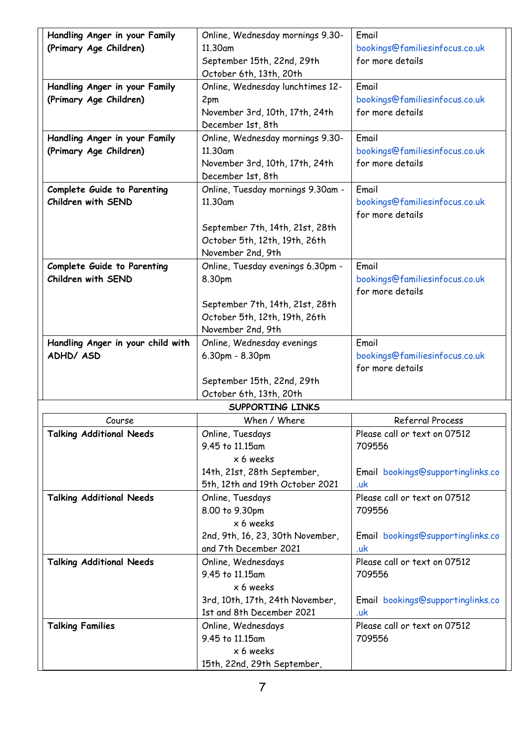| Handling Anger in your Family      | Online, Wednesday mornings 9.30-                                 | Email                                    |
|------------------------------------|------------------------------------------------------------------|------------------------------------------|
| (Primary Age Children)             | 11.30am                                                          | bookings@familiesinfocus.co.uk           |
|                                    | September 15th, 22nd, 29th                                       | for more details                         |
|                                    | October 6th, 13th, 20th                                          |                                          |
| Handling Anger in your Family      | Online, Wednesday lunchtimes 12-                                 | Email                                    |
| (Primary Age Children)             | 2pm                                                              | bookings@familiesinfocus.co.uk           |
|                                    | November 3rd, 10th, 17th, 24th                                   | for more details                         |
|                                    | December 1st, 8th                                                |                                          |
| Handling Anger in your Family      | Online, Wednesday mornings 9.30-                                 | Email                                    |
| (Primary Age Children)             | 11.30am                                                          | bookings@familiesinfocus.co.uk           |
|                                    | November 3rd, 10th, 17th, 24th                                   | for more details                         |
|                                    | December 1st, 8th                                                |                                          |
| <b>Complete Guide to Parenting</b> | Online, Tuesday mornings 9.30am -                                | Email                                    |
| Children with SEND                 | 11.30am                                                          | bookings@familiesinfocus.co.uk           |
|                                    |                                                                  | for more details                         |
|                                    | September 7th, 14th, 21st, 28th<br>October 5th, 12th, 19th, 26th |                                          |
|                                    | November 2nd, 9th                                                |                                          |
| <b>Complete Guide to Parenting</b> | Online, Tuesday evenings 6.30pm -                                | Email                                    |
| Children with SEND                 | 8.30pm                                                           | bookings@familiesinfocus.co.uk           |
|                                    |                                                                  | for more details                         |
|                                    | September 7th, 14th, 21st, 28th                                  |                                          |
|                                    | October 5th, 12th, 19th, 26th                                    |                                          |
|                                    | November 2nd, 9th                                                |                                          |
| Handling Anger in your child with  | Online, Wednesday evenings                                       | Email                                    |
| ADHD/ ASD                          | 6.30pm - 8.30pm                                                  | bookings@familiesinfocus.co.uk           |
|                                    |                                                                  | for more details                         |
|                                    | September 15th, 22nd, 29th                                       |                                          |
|                                    | October 6th, 13th, 20th                                          |                                          |
|                                    | SUPPORTING LINKS                                                 |                                          |
| Course                             | When / Where                                                     | Referral Process                         |
| <b>Talking Additional Needs</b>    | Online, Tuesdays                                                 | Please call or text on 07512             |
|                                    | 9.45 to 11.15am                                                  | 709556                                   |
|                                    | x 6 weeks<br>14th, 21st, 28th September,                         | Email bookings@supportinglinks.co        |
|                                    | 5th, 12th and 19th October 2021                                  | .uk                                      |
|                                    |                                                                  |                                          |
|                                    |                                                                  |                                          |
| <b>Talking Additional Needs</b>    | Online, Tuesdays                                                 | Please call or text on 07512             |
|                                    | 8.00 to 9.30pm                                                   | 709556                                   |
|                                    | x 6 weeks                                                        |                                          |
|                                    | 2nd, 9th, 16, 23, 30th November,<br>and 7th December 2021        | Email bookings@supportinglinks.co<br>.uk |
| <b>Talking Additional Needs</b>    | Online, Wednesdays                                               | Please call or text on 07512             |
|                                    | 9.45 to 11.15am                                                  | 709556                                   |
|                                    | x 6 weeks                                                        |                                          |
|                                    | 3rd, 10th, 17th, 24th November,                                  | Email bookings@supportinglinks.co        |
|                                    | 1st and 8th December 2021                                        | .uk                                      |
| <b>Talking Families</b>            | Online, Wednesdays                                               | Please call or text on 07512             |
|                                    | 9.45 to 11.15am                                                  | 709556                                   |
|                                    | x 6 weeks<br>15th, 22nd, 29th September,                         |                                          |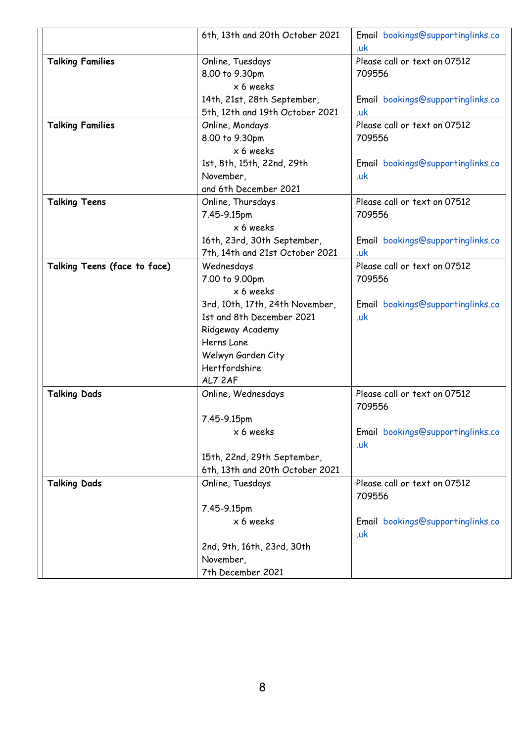|                              | 6th, 13th and 20th October 2021 | Email bookings@supportinglinks.co        |
|------------------------------|---------------------------------|------------------------------------------|
|                              |                                 | .uk                                      |
| <b>Talking Families</b>      | Online, Tuesdays                | Please call or text on 07512             |
|                              | 8.00 to 9.30pm                  | 709556                                   |
|                              | x 6 weeks                       |                                          |
|                              | 14th, 21st, 28th September,     | Email bookings@supportinglinks.co        |
|                              | 5th, 12th and 19th October 2021 | .uk                                      |
| <b>Talking Families</b>      | Online, Mondays                 | Please call or text on 07512             |
|                              | 8.00 to 9.30pm                  | 709556                                   |
|                              | $x 6$ weeks                     |                                          |
|                              | 1st, 8th, 15th, 22nd, 29th      | Email bookings@supportinglinks.co        |
|                              | November,                       | .uk                                      |
|                              | and 6th December 2021           |                                          |
| <b>Talking Teens</b>         | Online, Thursdays               | Please call or text on 07512             |
|                              | 7.45-9.15pm                     | 709556                                   |
|                              | x 6 weeks                       |                                          |
|                              | 16th, 23rd, 30th September,     | Email bookings@supportinglinks.co        |
|                              | 7th, 14th and 21st October 2021 | .uk                                      |
| Talking Teens (face to face) | Wednesdays                      | Please call or text on 07512             |
|                              | 7.00 to 9.00pm                  | 709556                                   |
|                              | x 6 weeks                       |                                          |
|                              | 3rd, 10th, 17th, 24th November, | Email bookings@supportinglinks.co        |
|                              | 1st and 8th December 2021       | .uk                                      |
|                              | Ridgeway Academy                |                                          |
|                              | Herns Lane                      |                                          |
|                              | Welwyn Garden City              |                                          |
|                              | Hertfordshire                   |                                          |
|                              | AL7 2AF                         |                                          |
| <b>Talking Dads</b>          | Online, Wednesdays              | Please call or text on 07512             |
|                              |                                 | 709556                                   |
|                              | 7.45-9.15pm                     |                                          |
|                              | x 6 weeks                       | Email bookings@supportinglinks.co        |
|                              |                                 | .uk                                      |
|                              | 15th, 22nd, 29th September,     |                                          |
|                              | 6th, 13th and 20th October 2021 |                                          |
| <b>Talking Dads</b>          | Online, Tuesdays                | Please call or text on 07512             |
|                              |                                 | 709556                                   |
|                              | 7.45-9.15pm                     |                                          |
|                              | x 6 weeks                       | Email bookings@supportinglinks.co<br>.uk |
|                              | 2nd, 9th, 16th, 23rd, 30th      |                                          |
|                              | November,                       |                                          |
|                              | 7th December 2021               |                                          |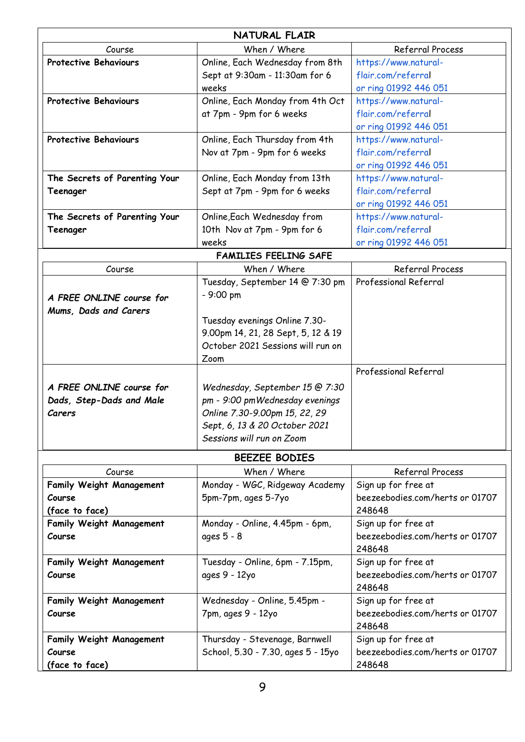|                                 | <b>NATURAL FLAIR</b>               |                                           |
|---------------------------------|------------------------------------|-------------------------------------------|
| Course                          | When / Where                       | Referral Process                          |
| <b>Protective Behaviours</b>    | Online, Each Wednesday from 8th    | https://www.natural-                      |
|                                 | Sept at 9:30am - 11:30am for 6     | flair.com/referral                        |
|                                 | weeks                              | or ring 01992 446 051                     |
| <b>Protective Behaviours</b>    | Online, Each Monday from 4th Oct   | https://www.natural-                      |
|                                 | at 7pm - 9pm for 6 weeks           | flair.com/referral                        |
|                                 |                                    | or ring 01992 446 051                     |
| <b>Protective Behaviours</b>    | Online, Each Thursday from 4th     | https://www.natural-                      |
|                                 | Nov at 7pm - 9pm for 6 weeks       | flair.com/referral                        |
|                                 |                                    | or ring 01992 446 051                     |
| The Secrets of Parenting Your   | Online, Each Monday from 13th      | https://www.natural-                      |
| Teenager                        | Sept at 7pm - 9pm for 6 weeks      | flair.com/referral                        |
|                                 |                                    | or ring 01992 446 051                     |
| The Secrets of Parenting Your   | Online, Each Wednesday from        | https://www.natural-                      |
| Teenager                        | 10th Nov at 7pm - 9pm for 6        | flair.com/referral                        |
|                                 | weeks                              | or ring 01992 446 051                     |
|                                 | <b>FAMILIES FEELING SAFE</b>       |                                           |
| Course                          | When / Where                       | Referral Process                          |
|                                 | Tuesday, September 14 @ 7:30 pm    | Professional Referral                     |
| A FREE ONLINE course for        | - 9:00 pm                          |                                           |
| Mums, Dads and Carers           |                                    |                                           |
|                                 | Tuesday evenings Online 7.30-      |                                           |
|                                 | 9.00pm 14, 21, 28 Sept, 5, 12 & 19 |                                           |
|                                 | October 2021 Sessions will run on  |                                           |
|                                 | Zoom                               |                                           |
|                                 |                                    | Professional Referral                     |
| A FREE ONLINE course for        | Wednesday, September 15 @ 7:30     |                                           |
| Dads, Step-Dads and Male        | pm - 9:00 pmWednesday evenings     |                                           |
| Carers                          | Online 7.30-9.00pm 15, 22, 29      |                                           |
|                                 | Sept, 6, 13 & 20 October 2021      |                                           |
|                                 | Sessions will run on Zoom          |                                           |
|                                 |                                    |                                           |
|                                 | BEEZEE BODIES                      |                                           |
| Course                          | When / Where                       | Referral Process                          |
| <b>Family Weight Management</b> | Monday - WGC, Ridgeway Academy     | Sign up for free at                       |
| Course<br>(face to face)        | 5pm-7pm, ages 5-7yo                | beezeebodies.com/herts or 01707<br>248648 |
| <b>Family Weight Management</b> | Monday - Online, 4.45pm - 6pm,     | Sign up for free at                       |
| Course                          | ages 5 - 8                         | beezeebodies.com/herts or 01707           |
|                                 |                                    | 248648                                    |
| <b>Family Weight Management</b> | Tuesday - Online, 6pm - 7.15pm,    | Sign up for free at                       |
| Course                          | ages 9 - 12yo                      | beezeebodies.com/herts or 01707           |
|                                 |                                    | 248648                                    |
| <b>Family Weight Management</b> | Wednesday - Online, 5.45pm -       | Sign up for free at                       |
| Course                          | 7pm, ages 9 - 12yo                 | beezeebodies.com/herts or 01707           |
|                                 |                                    | 248648                                    |
| <b>Family Weight Management</b> | Thursday - Stevenage, Barnwell     | Sign up for free at                       |
| Course                          | School, 5.30 - 7.30, ages 5 - 15yo | beezeebodies.com/herts or 01707           |
| (face to face)                  |                                    | 248648                                    |